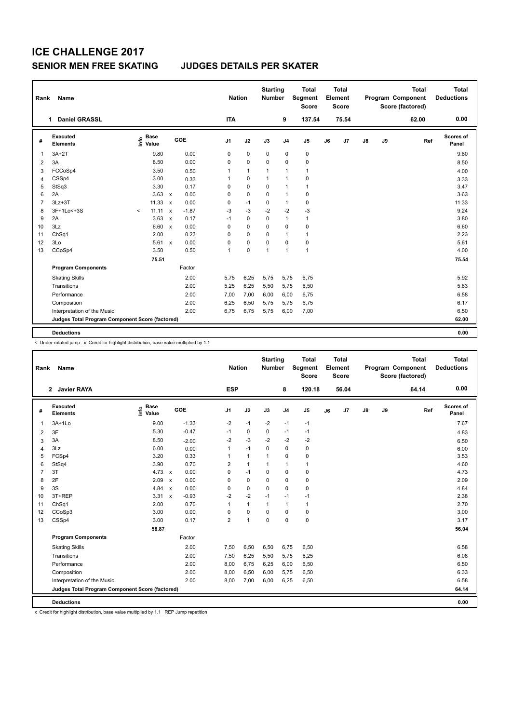| Name                        |                                                |                      | <b>Nation</b>                                                                       |              |                | Total<br><b>Score</b> |                                  | <b>Total</b>                                            |       |                         | <b>Total</b> | <b>Total</b><br><b>Deductions</b> |                                              |
|-----------------------------|------------------------------------------------|----------------------|-------------------------------------------------------------------------------------|--------------|----------------|-----------------------|----------------------------------|---------------------------------------------------------|-------|-------------------------|--------------|-----------------------------------|----------------------------------------------|
| <b>Daniel GRASSL</b>        |                                                |                      | <b>ITA</b>                                                                          |              |                | 9                     | 137.54                           |                                                         | 75.54 |                         |              | 62.00                             | 0.00                                         |
| Executed<br><b>Elements</b> | <b>Base</b><br>o Base<br>⊆ Value               | GOE                  | J <sub>1</sub>                                                                      | J2           | J3             | J <sub>4</sub>        | J5                               | J6                                                      | J7    | J8                      | J9           |                                   | Scores of<br>Panel                           |
| $3A+2T$                     | 9.80                                           | 0.00                 | 0                                                                                   | $\mathbf 0$  | 0              | $\mathbf 0$           | 0                                |                                                         |       |                         |              |                                   | 9.80                                         |
| 3A                          | 8.50                                           | 0.00                 | 0                                                                                   | $\pmb{0}$    | $\mathbf 0$    | $\mathbf 0$           | 0                                |                                                         |       |                         |              |                                   | 8.50                                         |
| FCCoSp4                     | 3.50                                           | 0.50                 | 1                                                                                   | $\mathbf{1}$ | $\mathbf{1}$   | $\mathbf{1}$          | $\mathbf{1}$                     |                                                         |       |                         |              |                                   | 4.00                                         |
| CSSp4                       | 3.00                                           | 0.33                 | 1                                                                                   | $\mathbf 0$  | $\overline{1}$ | $\mathbf{1}$          | 0                                |                                                         |       |                         |              |                                   | 3.33                                         |
| StSq3                       | 3.30                                           | 0.17                 | 0                                                                                   | $\mathbf 0$  | 0              | $\mathbf{1}$          | $\mathbf{1}$                     |                                                         |       |                         |              |                                   | 3.47                                         |
| 2A                          | 3.63                                           | 0.00<br>$\mathbf{x}$ | 0                                                                                   | $\mathbf 0$  | $\mathbf 0$    | $\mathbf{1}$          | 0                                |                                                         |       |                         |              |                                   | 3.63                                         |
| $3Lz + 3T$                  | 11.33                                          | 0.00<br>$\mathsf{x}$ | 0                                                                                   | $-1$         | $\mathbf 0$    | $\mathbf{1}$          | $\mathbf 0$                      |                                                         |       |                         |              |                                   | 11.33                                        |
| 3F+1Lo<+3S                  | $\prec$                                        | $-1.87$              | $-3$                                                                                | $-3$         | $-2$           | $-2$                  | $-3$                             |                                                         |       |                         |              |                                   | 9.24                                         |
| 2A                          | 3.63                                           | 0.17<br>$\mathsf{x}$ | $-1$                                                                                | $\mathbf 0$  | $\mathbf 0$    | $\mathbf{1}$          | $\mathbf{1}$                     |                                                         |       |                         |              |                                   | 3.80                                         |
| 3Lz                         | 6.60                                           | 0.00<br>$\mathbf{x}$ | 0                                                                                   | $\mathbf 0$  | 0              | $\mathbf 0$           | 0                                |                                                         |       |                         |              |                                   | 6.60                                         |
| ChSq1                       | 2.00                                           | 0.23                 | 0                                                                                   | $\mathbf 0$  | $\Omega$       | $\mathbf{1}$          | $\mathbf{1}$                     |                                                         |       |                         |              |                                   | 2.23                                         |
| 3Lo                         |                                                | 0.00                 | 0                                                                                   | $\mathbf 0$  | $\mathbf 0$    | $\mathbf 0$           | 0                                |                                                         |       |                         |              |                                   | 5.61                                         |
| CCoSp4                      | 3.50                                           | 0.50                 | 1                                                                                   | $\mathbf 0$  | $\overline{1}$ | $\mathbf{1}$          | $\mathbf{1}$                     |                                                         |       |                         |              |                                   | 4.00                                         |
|                             | 75.51                                          |                      |                                                                                     |              |                |                       |                                  |                                                         |       |                         |              |                                   | 75.54                                        |
| <b>Program Components</b>   |                                                | Factor               |                                                                                     |              |                |                       |                                  |                                                         |       |                         |              |                                   |                                              |
| <b>Skating Skills</b>       |                                                | 2.00                 | 5,75                                                                                | 6,25         | 5,75           |                       | 6,75                             |                                                         |       |                         |              |                                   | 5.92                                         |
| Transitions                 |                                                | 2.00                 | 5,25                                                                                | 6,25         | 5,50           |                       | 6,50                             |                                                         |       |                         |              |                                   | 5.83                                         |
| Performance                 |                                                | 2.00                 | 7,00                                                                                | 7,00         | 6,00           |                       | 6,75                             |                                                         |       |                         |              |                                   | 6.58                                         |
|                             |                                                |                      |                                                                                     |              |                |                       |                                  |                                                         |       |                         |              |                                   | 6.17                                         |
| Interpretation of the Music |                                                | 2.00                 | 6,75                                                                                | 6,75         | 5,75           |                       | 7,00                             |                                                         |       |                         |              |                                   | 6.50                                         |
|                             |                                                |                      |                                                                                     |              |                |                       |                                  |                                                         |       |                         |              |                                   | 62.00                                        |
|                             |                                                |                      |                                                                                     |              |                |                       |                                  |                                                         |       |                         |              |                                   | 0.00                                         |
|                             | Rank<br>1.<br>Composition<br><b>Deductions</b> |                      | 11.11 x<br>$5.61 \times$<br>2.00<br>Judges Total Program Component Score (factored) | 6,25         | 6,50           | 5,75                  | <b>Starting</b><br><b>Number</b> | Segment<br>5,75<br>5,75<br>6,00<br>6,75<br>5,75<br>6,00 |       | Element<br><b>Score</b> |              |                                   | Program Component<br>Score (factored)<br>Ref |

-<br>< Under-rotated jump x Credit for highlight distribution, base value multiplied by 1.1

| <b>Name</b><br>Rank |                                                 |                                  |                         | <b>Nation</b>  | <b>Starting</b><br><b>Number</b> |              | <b>Total</b><br>Segment<br><b>Score</b> |                | <b>Total</b><br>Element<br><b>Score</b> |       |               | <b>Total</b><br>Program Component<br>Score (factored) | Total<br><b>Deductions</b> |                           |
|---------------------|-------------------------------------------------|----------------------------------|-------------------------|----------------|----------------------------------|--------------|-----------------------------------------|----------------|-----------------------------------------|-------|---------------|-------------------------------------------------------|----------------------------|---------------------------|
|                     | 2 Javier RAYA                                   |                                  |                         | <b>ESP</b>     |                                  |              | 8                                       | 120.18         |                                         | 56.04 |               |                                                       | 64.14                      | 0.00                      |
| #                   | <b>Executed</b><br><b>Elements</b>              | <b>Base</b><br>e Base<br>E Value | GOE                     | J <sub>1</sub> | J2                               | J3           | J <sub>4</sub>                          | J <sub>5</sub> | J6                                      | J7    | $\mathsf{J}8$ | J9                                                    | Ref                        | <b>Scores of</b><br>Panel |
| $\mathbf{1}$        | $3A+1Lo$                                        | 9.00                             | $-1.33$                 | $-2$           | $-1$                             | $-2$         | $-1$                                    | $-1$           |                                         |       |               |                                                       |                            | 7.67                      |
| 2                   | 3F                                              | 5.30                             | $-0.47$                 | $-1$           | 0                                | 0            | $-1$                                    | $-1$           |                                         |       |               |                                                       |                            | 4.83                      |
| 3                   | 3A                                              | 8.50                             | $-2.00$                 | $-2$           | $-3$                             | $-2$         | $-2$                                    | $-2$           |                                         |       |               |                                                       |                            | 6.50                      |
| $\overline{4}$      | 3Lz                                             | 6.00                             | 0.00                    | 1              | $-1$                             | 0            | $\mathbf 0$                             | $\pmb{0}$      |                                         |       |               |                                                       |                            | 6.00                      |
| 5                   | FCSp4                                           | 3.20                             | 0.33                    | $\mathbf{1}$   | $\mathbf{1}$                     | $\mathbf{1}$ | $\mathbf 0$                             | $\pmb{0}$      |                                         |       |               |                                                       |                            | 3.53                      |
| 6                   | StSq4                                           | 3.90                             | 0.70                    | $\overline{2}$ | $\mathbf{1}$                     | $\mathbf{1}$ | $\mathbf{1}$                            | $\mathbf{1}$   |                                         |       |               |                                                       |                            | 4.60                      |
| $\overline{7}$      | 3T                                              | 4.73                             | 0.00<br>$\mathsf{x}$    | 0              | $-1$                             | 0            | $\mathbf 0$                             | $\pmb{0}$      |                                         |       |               |                                                       |                            | 4.73                      |
| 8                   | 2F                                              | 2.09                             | 0.00<br>$\mathbf{x}$    | 0              | $\mathbf 0$                      | $\Omega$     | $\mathbf 0$                             | $\pmb{0}$      |                                         |       |               |                                                       |                            | 2.09                      |
| 9                   | 3S                                              | 4.84 $\times$                    | 0.00                    | $\mathbf 0$    | $\mathbf 0$                      | $\mathbf 0$  | $\mathbf 0$                             | $\mathbf 0$    |                                         |       |               |                                                       |                            | 4.84                      |
| 10                  | 3T+REP                                          | 3.31                             | $-0.93$<br>$\mathsf{x}$ | $-2$           | $-2$                             | $-1$         | $-1$                                    | $-1$           |                                         |       |               |                                                       |                            | 2.38                      |
| 11                  | ChSq1                                           | 2.00                             | 0.70                    | 1              | $\mathbf{1}$                     | $\mathbf{1}$ | $\mathbf{1}$                            | $\mathbf{1}$   |                                         |       |               |                                                       |                            | 2.70                      |
| 12                  | CCoSp3                                          | 3.00                             | 0.00                    | 0              | $\mathbf 0$                      | $\Omega$     | 0                                       | 0              |                                         |       |               |                                                       |                            | 3.00                      |
| 13                  | CSSp4                                           | 3.00                             | 0.17                    | $\overline{2}$ | 1                                | $\mathbf 0$  | $\mathbf 0$                             | $\pmb{0}$      |                                         |       |               |                                                       |                            | 3.17                      |
|                     |                                                 | 58.87                            |                         |                |                                  |              |                                         |                |                                         |       |               |                                                       |                            | 56.04                     |
|                     | <b>Program Components</b>                       |                                  | Factor                  |                |                                  |              |                                         |                |                                         |       |               |                                                       |                            |                           |
|                     | <b>Skating Skills</b>                           |                                  | 2.00                    | 7,50           | 6,50                             | 6,50         | 6,75                                    | 6,50           |                                         |       |               |                                                       |                            | 6.58                      |
|                     | Transitions                                     |                                  | 2.00                    | 7,50           | 6,25                             | 5,50         | 5,75                                    | 6,25           |                                         |       |               |                                                       |                            | 6.08                      |
|                     | Performance                                     |                                  | 2.00                    | 8,00           | 6,75                             | 6,25         | 6,00                                    | 6,50           |                                         |       |               |                                                       |                            | 6.50                      |
|                     | Composition                                     |                                  | 2.00                    | 8,00           | 6,50                             | 6,00         | 5,75                                    | 6,50           |                                         |       |               |                                                       |                            | 6.33                      |
|                     | Interpretation of the Music                     |                                  | 2.00                    | 8,00           | 7,00                             | 6,00         | 6,25                                    | 6,50           |                                         |       |               |                                                       |                            | 6.58                      |
|                     | Judges Total Program Component Score (factored) |                                  |                         |                |                                  |              |                                         |                |                                         |       |               |                                                       |                            | 64.14                     |
|                     |                                                 |                                  |                         |                |                                  |              |                                         |                |                                         |       |               |                                                       |                            |                           |
|                     | <b>Deductions</b>                               |                                  |                         |                |                                  |              |                                         |                |                                         |       |               |                                                       |                            | 0.00                      |

x Credit for highlight distribution, base value multiplied by 1.1 REP Jump repetition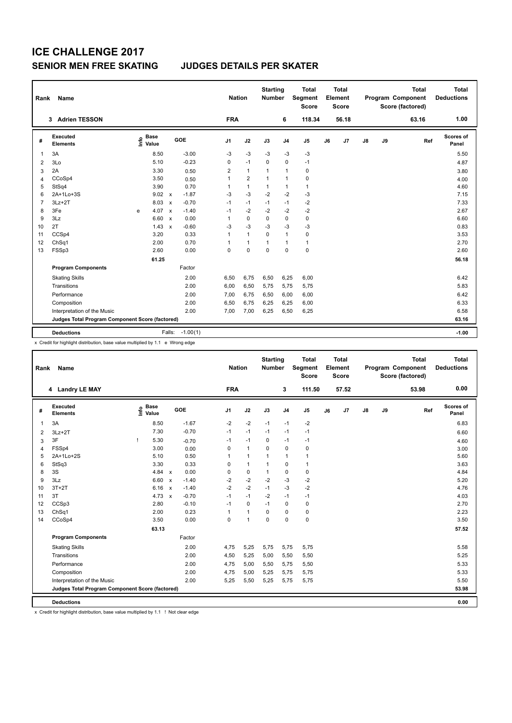| Rank           | Name                                            |                            |                                      | <b>Nation</b>  |                | <b>Starting</b><br><b>Number</b> |                | <b>Total</b><br>Segment<br><b>Score</b> |    | <b>Total</b><br>Element<br><b>Score</b> |    |    | <b>Total</b><br>Program Component<br>Score (factored) | <b>Total</b><br><b>Deductions</b> |
|----------------|-------------------------------------------------|----------------------------|--------------------------------------|----------------|----------------|----------------------------------|----------------|-----------------------------------------|----|-----------------------------------------|----|----|-------------------------------------------------------|-----------------------------------|
|                | <b>Adrien TESSON</b><br>3                       |                            |                                      | <b>FRA</b>     |                |                                  | 6              | 118.34                                  |    | 56.18                                   |    |    | 63.16                                                 | 1.00                              |
| #              | <b>Executed</b><br><b>Elements</b>              | <b>Base</b><br>۴٥<br>Value | GOE                                  | J <sub>1</sub> | J2             | J3                               | J <sub>4</sub> | J <sub>5</sub>                          | J6 | J7                                      | J8 | J9 | Ref                                                   | <b>Scores of</b><br>Panel         |
| 1              | 3A                                              | 8.50                       | $-3.00$                              | $-3$           | $-3$           | $-3$                             | $-3$           | $-3$                                    |    |                                         |    |    |                                                       | 5.50                              |
| 2              | 3Lo                                             | 5.10                       | $-0.23$                              | $\Omega$       | $-1$           | $\Omega$                         | $\mathbf 0$    | $-1$                                    |    |                                         |    |    |                                                       | 4.87                              |
| 3              | 2A                                              | 3.30                       | 0.50                                 | 2              | $\overline{1}$ | 1                                | $\mathbf{1}$   | 0                                       |    |                                         |    |    |                                                       | 3.80                              |
| 4              | CCoSp4                                          | 3.50                       | 0.50                                 | $\overline{1}$ | $\overline{2}$ | $\overline{1}$                   | $\overline{1}$ | $\mathbf 0$                             |    |                                         |    |    |                                                       | 4.00                              |
| 5              | StSq4                                           | 3.90                       | 0.70                                 | $\mathbf{1}$   | $\overline{1}$ | $\mathbf{1}$                     | $\mathbf{1}$   | $\mathbf{1}$                            |    |                                         |    |    |                                                       | 4.60                              |
| 6              | 2A+1Lo+3S                                       | 9.02                       | $-1.87$<br>$\mathsf{x}$              | $-3$           | $-3$           | $-2$                             | $-2$           | $-3$                                    |    |                                         |    |    |                                                       | 7.15                              |
| $\overline{7}$ | $3Lz + 2T$                                      | 8.03                       | $-0.70$<br>$\mathsf{x}$              | $-1$           | $-1$           | $-1$                             | $-1$           | $-2$                                    |    |                                         |    |    |                                                       | 7.33                              |
| 8              | 3Fe                                             | 4.07<br>e                  | $-1.40$<br>$\boldsymbol{\mathsf{x}}$ | $-1$           | $-2$           | $-2$                             | $-2$           | $-2$                                    |    |                                         |    |    |                                                       | 2.67                              |
| 9              | 3Lz                                             | 6.60                       | 0.00<br>$\mathsf{x}$                 | 1              | $\mathbf 0$    | $\mathbf 0$                      | $\mathbf 0$    | $\mathbf 0$                             |    |                                         |    |    |                                                       | 6.60                              |
| 10             | 2T                                              | 1.43                       | $-0.60$<br>$\boldsymbol{\mathsf{x}}$ | $-3$           | $-3$           | $-3$                             | $-3$           | $-3$                                    |    |                                         |    |    |                                                       | 0.83                              |
| 11             | CCSp4                                           | 3.20                       | 0.33                                 | 1              | $\mathbf{1}$   | $\Omega$                         | $\mathbf{1}$   | 0                                       |    |                                         |    |    |                                                       | 3.53                              |
| 12             | ChSq1                                           | 2.00                       | 0.70                                 | 1              | $\mathbf{1}$   | $\mathbf{1}$                     | $\mathbf{1}$   | $\mathbf{1}$                            |    |                                         |    |    |                                                       | 2.70                              |
| 13             | FSSp3                                           | 2.60                       | 0.00                                 | $\Omega$       | $\Omega$       | $\Omega$                         | $\Omega$       | $\mathbf 0$                             |    |                                         |    |    |                                                       | 2.60                              |
|                |                                                 | 61.25                      |                                      |                |                |                                  |                |                                         |    |                                         |    |    |                                                       | 56.18                             |
|                | <b>Program Components</b>                       |                            | Factor                               |                |                |                                  |                |                                         |    |                                         |    |    |                                                       |                                   |
|                | <b>Skating Skills</b>                           |                            | 2.00                                 | 6.50           | 6,75           | 6,50                             | 6,25           | 6,00                                    |    |                                         |    |    |                                                       | 6.42                              |
|                | Transitions                                     |                            | 2.00                                 | 6,00           | 6,50           | 5,75                             | 5,75           | 5,75                                    |    |                                         |    |    |                                                       | 5.83                              |
|                | Performance                                     |                            | 2.00                                 | 7,00           | 6,75           | 6,50                             | 6,00           | 6,00                                    |    |                                         |    |    |                                                       | 6.42                              |
|                | Composition                                     |                            | 2.00                                 | 6,50           | 6,75           | 6,25                             | 6,25           | 6,00                                    |    |                                         |    |    |                                                       | 6.33                              |
|                | Interpretation of the Music                     |                            | 2.00                                 | 7,00           | 7,00           | 6,25                             | 6,50           | 6,25                                    |    |                                         |    |    |                                                       | 6.58                              |
|                | Judges Total Program Component Score (factored) |                            |                                      |                |                |                                  |                |                                         |    |                                         |    |    |                                                       | 63.16                             |
|                | <b>Deductions</b>                               |                            | Falls:<br>$-1.00(1)$                 |                |                |                                  |                |                                         |    |                                         |    |    |                                                       | $-1.00$                           |
|                |                                                 |                            |                                      |                |                |                                  |                |                                         |    |                                         |    |    |                                                       |                                   |

x Credit for highlight distribution, base value multiplied by 1.1 e Wrong edge

| Rank         | Name                                            |                              |                                      | <b>Nation</b>  |                | <b>Starting</b><br>Number |                | <b>Total</b><br>Segment<br><b>Score</b> |    | <b>Total</b><br>Element<br><b>Score</b> |    |    | <b>Total</b><br>Program Component<br>Score (factored) | <b>Total</b><br><b>Deductions</b> |
|--------------|-------------------------------------------------|------------------------------|--------------------------------------|----------------|----------------|---------------------------|----------------|-----------------------------------------|----|-----------------------------------------|----|----|-------------------------------------------------------|-----------------------------------|
|              | 4 Landry LE MAY                                 |                              |                                      | <b>FRA</b>     |                |                           | 3              | 111.50                                  |    | 57.52                                   |    |    | 53.98                                                 | 0.00                              |
| #            | Executed<br><b>Elements</b>                     | <b>Base</b><br>lnfo<br>Value | GOE                                  | J <sub>1</sub> | J2             | J3                        | J <sub>4</sub> | J <sub>5</sub>                          | J6 | J7                                      | J8 | J9 | Ref                                                   | <b>Scores of</b><br>Panel         |
| $\mathbf{1}$ | 3A                                              | 8.50                         | $-1.67$                              | $-2$           | $-2$           | $-1$                      | $-1$           | $-2$                                    |    |                                         |    |    |                                                       | 6.83                              |
| 2            | $3Lz + 2T$                                      | 7.30                         | $-0.70$                              | $-1$           | $-1$           | $-1$                      | $-1$           | $-1$                                    |    |                                         |    |    |                                                       | 6.60                              |
| 3            | 3F                                              | 5.30<br>ı                    | $-0.70$                              | $-1$           | $-1$           | 0                         | $-1$           | $-1$                                    |    |                                         |    |    |                                                       | 4.60                              |
| 4            | FSSp4                                           | 3.00                         | 0.00                                 | $\mathbf 0$    | $\mathbf{1}$   | $\mathbf 0$               | $\mathbf 0$    | $\pmb{0}$                               |    |                                         |    |    |                                                       | 3.00                              |
| 5            | 2A+1Lo+2S                                       | 5.10                         | 0.50                                 | 1              | $\mathbf{1}$   | 1                         | $\mathbf{1}$   | $\mathbf{1}$                            |    |                                         |    |    |                                                       | 5.60                              |
| 6            | StSq3                                           | 3.30                         | 0.33                                 | 0              | $\mathbf{1}$   | $\mathbf{1}$              | $\mathbf 0$    | $\mathbf{1}$                            |    |                                         |    |    |                                                       | 3.63                              |
| 8            | 3S                                              | 4.84                         | 0.00<br>$\mathsf{x}$                 | 0              | $\pmb{0}$      | $\mathbf{1}$              | 0              | $\pmb{0}$                               |    |                                         |    |    |                                                       | 4.84                              |
| 9            | 3Lz                                             | 6.60                         | $-1.40$<br>$\boldsymbol{\mathsf{x}}$ | $-2$           | $-2$           | $-2$                      | $-3$           | $-2$                                    |    |                                         |    |    |                                                       | 5.20                              |
| 10           | $3T+2T$                                         | 6.16                         | $-1.40$<br>$\mathsf{x}$              | $-2$           | $-2$           | $-1$                      | $-3$           | $-2$                                    |    |                                         |    |    |                                                       | 4.76                              |
| 11           | 3T                                              | 4.73                         | $-0.70$<br>$\mathsf{x}$              | $-1$           | $-1$           | $-2$                      | $-1$           | $-1$                                    |    |                                         |    |    |                                                       | 4.03                              |
| 12           | CCSp3                                           | 2.80                         | $-0.10$                              | $-1$           | $\mathbf 0$    | $-1$                      | $\mathbf 0$    | 0                                       |    |                                         |    |    |                                                       | 2.70                              |
| 13           | ChSq1                                           | 2.00                         | 0.23                                 | 1              | $\mathbf{1}$   | $\Omega$                  | 0              | $\pmb{0}$                               |    |                                         |    |    |                                                       | 2.23                              |
| 14           | CCoSp4                                          | 3.50                         | 0.00                                 | $\mathbf 0$    | $\overline{1}$ | $\mathbf 0$               | $\mathbf 0$    | $\pmb{0}$                               |    |                                         |    |    |                                                       | 3.50                              |
|              |                                                 | 63.13                        |                                      |                |                |                           |                |                                         |    |                                         |    |    |                                                       | 57.52                             |
|              | <b>Program Components</b>                       |                              | Factor                               |                |                |                           |                |                                         |    |                                         |    |    |                                                       |                                   |
|              | <b>Skating Skills</b>                           |                              | 2.00                                 | 4.75           | 5,25           | 5,75                      | 5,75           | 5,75                                    |    |                                         |    |    |                                                       | 5.58                              |
|              | Transitions                                     |                              | 2.00                                 | 4,50           | 5,25           | 5,00                      | 5,50           | 5,50                                    |    |                                         |    |    |                                                       | 5.25                              |
|              | Performance                                     |                              | 2.00                                 | 4,75           | 5,00           | 5,50                      | 5,75           | 5,50                                    |    |                                         |    |    |                                                       | 5.33                              |
|              | Composition                                     |                              | 2.00                                 | 4,75           | 5,00           | 5,25                      | 5,75           | 5,75                                    |    |                                         |    |    |                                                       | 5.33                              |
|              | Interpretation of the Music                     |                              | 2.00                                 | 5,25           | 5,50           | 5,25                      | 5,75           | 5,75                                    |    |                                         |    |    |                                                       | 5.50                              |
|              | Judges Total Program Component Score (factored) |                              |                                      |                |                |                           |                |                                         |    |                                         |    |    |                                                       | 53.98                             |
|              |                                                 |                              |                                      |                |                |                           |                |                                         |    |                                         |    |    |                                                       |                                   |
|              | <b>Deductions</b>                               |                              |                                      |                |                |                           |                |                                         |    |                                         |    |    |                                                       | 0.00                              |

x Credit for highlight distribution, base value multiplied by 1.1 ! Not clear edge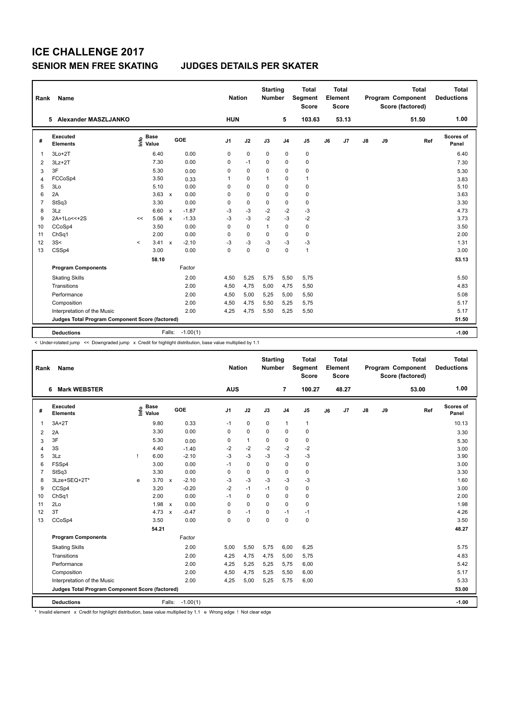| Rank           | <b>Name</b>                                     |                              |               |              |            | <b>Nation</b>  |             | <b>Starting</b><br><b>Number</b> |                | <b>Total</b><br><b>Segment</b><br><b>Score</b> |    | Total<br>Element<br><b>Score</b> |    |    | <b>Total</b><br>Program Component<br>Score (factored) | Total<br><b>Deductions</b> |
|----------------|-------------------------------------------------|------------------------------|---------------|--------------|------------|----------------|-------------|----------------------------------|----------------|------------------------------------------------|----|----------------------------------|----|----|-------------------------------------------------------|----------------------------|
|                | Alexander MASZLJANKO<br>5                       |                              |               |              |            | <b>HUN</b>     |             |                                  | 5              | 103.63                                         |    | 53.13                            |    |    | 51.50                                                 | 1.00                       |
| #              | <b>Executed</b><br><b>Elements</b>              | <b>Base</b><br>lnfo<br>Value |               |              | GOE        | J <sub>1</sub> | J2          | J3                               | J <sub>4</sub> | J <sub>5</sub>                                 | J6 | J7                               | J8 | J9 | Ref                                                   | <b>Scores of</b><br>Panel  |
| $\overline{1}$ | $3Lo+2T$                                        |                              | 6.40          |              | 0.00       | $\mathbf 0$    | $\mathbf 0$ | $\mathbf 0$                      | $\mathbf 0$    | $\mathbf 0$                                    |    |                                  |    |    |                                                       | 6.40                       |
| 2              | $3Lz + 2T$                                      |                              | 7.30          |              | 0.00       | 0              | $-1$        | 0                                | 0              | $\pmb{0}$                                      |    |                                  |    |    |                                                       | 7.30                       |
| 3              | 3F                                              |                              | 5.30          |              | 0.00       | 0              | $\mathbf 0$ | $\mathbf 0$                      | $\mathbf 0$    | $\mathbf 0$                                    |    |                                  |    |    |                                                       | 5.30                       |
| 4              | FCCoSp4                                         |                              | 3.50          |              | 0.33       | 1              | $\mathbf 0$ | $\mathbf{1}$                     | $\mathbf 0$    | $\mathbf{1}$                                   |    |                                  |    |    |                                                       | 3.83                       |
| 5              | 3Lo                                             |                              | 5.10          |              | 0.00       | 0              | $\mathbf 0$ | 0                                | $\mathbf 0$    | $\pmb{0}$                                      |    |                                  |    |    |                                                       | 5.10                       |
| 6              | 2A                                              |                              | $3.63 \times$ |              | 0.00       | 0              | 0           | 0                                | 0              | 0                                              |    |                                  |    |    |                                                       | 3.63                       |
| $\overline{7}$ | StSq3                                           |                              | 3.30          |              | 0.00       | 0              | $\mathbf 0$ | $\mathbf 0$                      | $\mathbf 0$    | $\mathbf 0$                                    |    |                                  |    |    |                                                       | 3.30                       |
| 8              | 3Lz                                             |                              | 6.60          | $\mathsf{x}$ | $-1.87$    | -3             | $-3$        | $-2$                             | $-2$           | $-3$                                           |    |                                  |    |    |                                                       | 4.73                       |
| 9              | 2A+1Lo << + 2S                                  | <<                           | 5.06          | $\mathsf{x}$ | $-1.33$    | $-3$           | $-3$        | $-2$                             | $-3$           | $-2$                                           |    |                                  |    |    |                                                       | 3.73                       |
| 10             | CCoSp4                                          |                              | 3.50          |              | 0.00       | 0              | $\mathbf 0$ | 1                                | $\mathbf 0$    | $\pmb{0}$                                      |    |                                  |    |    |                                                       | 3.50                       |
| 11             | ChSq1                                           |                              | 2.00          |              | 0.00       | 0              | $\mathbf 0$ | 0                                | $\mathbf 0$    | $\mathbf 0$                                    |    |                                  |    |    |                                                       | 2.00                       |
| 12             | 3S<                                             | $\prec$                      | 3.41          | $\mathsf{x}$ | $-2.10$    | -3             | $-3$        | -3                               | $-3$           | $-3$                                           |    |                                  |    |    |                                                       | 1.31                       |
| 13             | CSSp4                                           |                              | 3.00          |              | 0.00       | 0              | $\pmb{0}$   | $\mathbf 0$                      | $\mathbf 0$    | $\mathbf{1}$                                   |    |                                  |    |    |                                                       | 3.00                       |
|                |                                                 |                              | 58.10         |              |            |                |             |                                  |                |                                                |    |                                  |    |    |                                                       | 53.13                      |
|                | <b>Program Components</b>                       |                              |               |              | Factor     |                |             |                                  |                |                                                |    |                                  |    |    |                                                       |                            |
|                | <b>Skating Skills</b>                           |                              |               |              | 2.00       | 4,50           | 5,25        | 5,75                             | 5,50           | 5,75                                           |    |                                  |    |    |                                                       | 5.50                       |
|                | Transitions                                     |                              |               |              | 2.00       | 4,50           | 4,75        | 5,00                             | 4,75           | 5,50                                           |    |                                  |    |    |                                                       | 4.83                       |
|                | Performance                                     |                              |               |              | 2.00       | 4,50           | 5,00        | 5,25                             | 5,00           | 5,50                                           |    |                                  |    |    |                                                       | 5.08                       |
|                | Composition                                     |                              |               |              | 2.00       | 4,50           | 4,75        | 5,50                             | 5,25           | 5,75                                           |    |                                  |    |    |                                                       | 5.17                       |
|                | Interpretation of the Music                     |                              |               |              | 2.00       | 4,25           | 4,75        | 5,50                             | 5,25           | 5,50                                           |    |                                  |    |    |                                                       | 5.17                       |
|                | Judges Total Program Component Score (factored) |                              |               |              |            |                |             |                                  |                |                                                |    |                                  |    |    |                                                       | 51.50                      |
|                |                                                 |                              |               |              |            |                |             |                                  |                |                                                |    |                                  |    |    |                                                       |                            |
|                | <b>Deductions</b>                               |                              |               | Falls:       | $-1.00(1)$ |                |             |                                  |                |                                                |    |                                  |    |    |                                                       | $-1.00$                    |

< Under-rotated jump << Downgraded jump x Credit for highlight distribution, base value multiplied by 1.1

| Rank           | Name                                            |   |                                    |              |            | <b>Nation</b>  |              | <b>Starting</b><br><b>Number</b> |                | <b>Total</b><br>Segment<br><b>Score</b> |    | <b>Total</b><br>Element<br><b>Score</b> |               |    | <b>Total</b><br>Program Component<br>Score (factored) | <b>Total</b><br><b>Deductions</b> |
|----------------|-------------------------------------------------|---|------------------------------------|--------------|------------|----------------|--------------|----------------------------------|----------------|-----------------------------------------|----|-----------------------------------------|---------------|----|-------------------------------------------------------|-----------------------------------|
|                | <b>Mark WEBSTER</b><br>6                        |   |                                    |              |            | <b>AUS</b>     |              |                                  | $\overline{7}$ | 100.27                                  |    | 48.27                                   |               |    | 53.00                                                 | 1.00                              |
| #              | Executed<br><b>Elements</b>                     |   | <b>Base</b><br>$\frac{6}{5}$ Value | GOE          |            | J <sub>1</sub> | J2           | J3                               | J <sub>4</sub> | J <sub>5</sub>                          | J6 | J7                                      | $\mathsf{J}8$ | J9 | Ref                                                   | <b>Scores of</b><br>Panel         |
| 1              | $3A+2T$                                         |   | 9.80                               |              | 0.33       | $-1$           | $\pmb{0}$    | $\mathbf 0$                      | $\mathbf{1}$   | $\mathbf{1}$                            |    |                                         |               |    |                                                       | 10.13                             |
| 2              | 2A                                              |   | 3.30                               |              | 0.00       | $\mathbf 0$    | $\mathbf 0$  | $\mathbf 0$                      | $\mathbf 0$    | 0                                       |    |                                         |               |    |                                                       | 3.30                              |
| 3              | 3F                                              |   | 5.30                               |              | 0.00       | 0              | $\mathbf{1}$ | 0                                | $\pmb{0}$      | 0                                       |    |                                         |               |    |                                                       | 5.30                              |
| $\overline{4}$ | 3S                                              |   | 4.40                               |              | $-1.40$    | $-2$           | $-2$         | $-2$                             | $-2$           | $-2$                                    |    |                                         |               |    |                                                       | 3.00                              |
| 5              | 3Lz                                             |   | 6.00                               |              | $-2.10$    | $-3$           | $-3$         | $-3$                             | $-3$           | $-3$                                    |    |                                         |               |    |                                                       | 3.90                              |
| 6              | FSSp4                                           |   | 3.00                               |              | 0.00       | $-1$           | $\pmb{0}$    | $\Omega$                         | $\pmb{0}$      | $\pmb{0}$                               |    |                                         |               |    |                                                       | 3.00                              |
| $\overline{7}$ | StSq3                                           |   | 3.30                               |              | 0.00       | 0              | $\pmb{0}$    | 0                                | $\pmb{0}$      | $\pmb{0}$                               |    |                                         |               |    |                                                       | 3.30                              |
| 8              | 3Lze+SEQ+2T*                                    | e | $3.70 \times$                      |              | $-2.10$    | -3             | $-3$         | $-3$                             | $-3$           | $-3$                                    |    |                                         |               |    |                                                       | 1.60                              |
| 9              | CCSp4                                           |   | 3.20                               |              | $-0.20$    | $-2$           | $-1$         | $-1$                             | $\mathbf 0$    | $\mathbf 0$                             |    |                                         |               |    |                                                       | 3.00                              |
| 10             | ChSq1                                           |   | 2.00                               |              | 0.00       | $-1$           | $\mathbf 0$  | 0                                | $\mathbf 0$    | 0                                       |    |                                         |               |    |                                                       | 2.00                              |
| 11             | 2Lo                                             |   | 1.98 x                             |              | 0.00       | 0              | $\mathbf 0$  | $\Omega$                         | $\mathbf 0$    | $\pmb{0}$                               |    |                                         |               |    |                                                       | 1.98                              |
| 12             | 3T                                              |   | 4.73                               | $\mathsf{x}$ | $-0.47$    | 0              | $-1$         | $\Omega$                         | $-1$           | $-1$                                    |    |                                         |               |    |                                                       | 4.26                              |
| 13             | CCoSp4                                          |   | 3.50                               |              | 0.00       | 0              | $\mathbf 0$  | $\mathbf 0$                      | $\mathbf 0$    | $\pmb{0}$                               |    |                                         |               |    |                                                       | 3.50                              |
|                |                                                 |   | 54.21                              |              |            |                |              |                                  |                |                                         |    |                                         |               |    |                                                       | 48.27                             |
|                | <b>Program Components</b>                       |   |                                    |              | Factor     |                |              |                                  |                |                                         |    |                                         |               |    |                                                       |                                   |
|                | <b>Skating Skills</b>                           |   |                                    |              | 2.00       | 5,00           | 5,50         | 5,75                             | 6,00           | 6,25                                    |    |                                         |               |    |                                                       | 5.75                              |
|                | Transitions                                     |   |                                    |              | 2.00       | 4,25           | 4,75         | 4,75                             | 5,00           | 5,75                                    |    |                                         |               |    |                                                       | 4.83                              |
|                | Performance                                     |   |                                    |              | 2.00       | 4,25           | 5,25         | 5,25                             | 5,75           | 6,00                                    |    |                                         |               |    |                                                       | 5.42                              |
|                | Composition                                     |   |                                    |              | 2.00       | 4,50           | 4,75         | 5,25                             | 5,50           | 6,00                                    |    |                                         |               |    |                                                       | 5.17                              |
|                | Interpretation of the Music                     |   |                                    |              | 2.00       | 4,25           | 5,00         | 5,25                             | 5,75           | 6,00                                    |    |                                         |               |    |                                                       | 5.33                              |
|                | Judges Total Program Component Score (factored) |   |                                    |              |            |                |              |                                  |                |                                         |    |                                         |               |    |                                                       | 53.00                             |
|                | <b>Deductions</b>                               |   |                                    | Falls:       | $-1.00(1)$ |                |              |                                  |                |                                         |    |                                         |               |    |                                                       | $-1.00$                           |

\* Invalid element x Credit for highlight distribution, base value multiplied by 1.1 e Wrong edge ! Not clear edge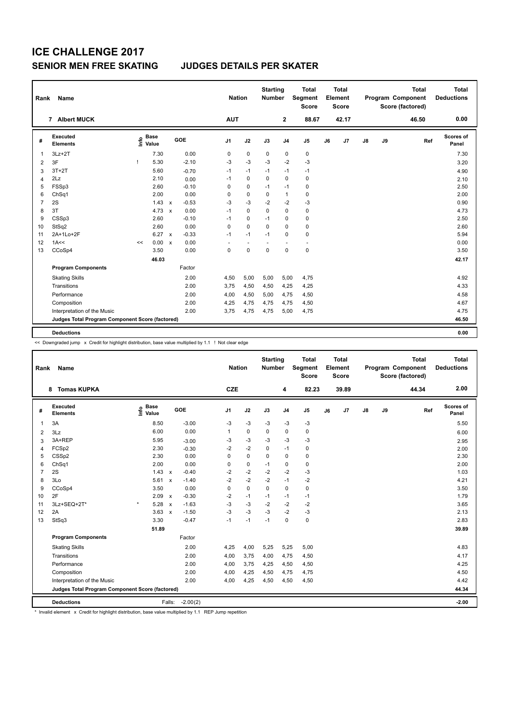| Rank           | Name                                            |    |                      |                           |         |                | <b>Starting</b><br><b>Nation</b><br>Number<br><b>AUT</b> |                |                | <b>Total</b><br>Segment<br><b>Score</b> |    | Total<br>Element<br><b>Score</b> |               |    | <b>Total</b><br>Program Component<br>Score (factored) | Total<br><b>Deductions</b> |
|----------------|-------------------------------------------------|----|----------------------|---------------------------|---------|----------------|----------------------------------------------------------|----------------|----------------|-----------------------------------------|----|----------------------------------|---------------|----|-------------------------------------------------------|----------------------------|
|                | 7 Albert MUCK                                   |    |                      |                           |         |                |                                                          |                | $\mathbf{2}$   | 88.67                                   |    | 42.17                            |               |    | 46.50                                                 | 0.00                       |
| #              | Executed<br><b>Elements</b>                     | ۴٥ | <b>Base</b><br>Value |                           | GOE     | J <sub>1</sub> | J2                                                       | J3             | J <sub>4</sub> | J <sub>5</sub>                          | J6 | J7                               | $\mathsf{J}8$ | J9 | Ref                                                   | Scores of<br>Panel         |
| 1              | $3Lz + 2T$                                      |    | 7.30                 |                           | 0.00    | 0              | $\mathbf 0$                                              | 0              | $\pmb{0}$      | 0                                       |    |                                  |               |    |                                                       | 7.30                       |
| 2              | 3F                                              | -1 | 5.30                 |                           | $-2.10$ | -3             | -3                                                       | -3             | -2             | -3                                      |    |                                  |               |    |                                                       | 3.20                       |
| 3              | $3T+2T$                                         |    | 5.60                 |                           | $-0.70$ | $-1$           | $-1$                                                     | $-1$           | $-1$           | $-1$                                    |    |                                  |               |    |                                                       | 4.90                       |
| 4              | 2Lz                                             |    | 2.10                 |                           | 0.00    | $-1$           | $\mathbf 0$                                              | $\Omega$       | $\mathbf 0$    | 0                                       |    |                                  |               |    |                                                       | 2.10                       |
| 5              | FSSp3                                           |    | 2.60                 |                           | $-0.10$ | 0              | $\mathbf 0$                                              | $-1$           | $-1$           | 0                                       |    |                                  |               |    |                                                       | 2.50                       |
| 6              | ChSq1                                           |    | 2.00                 |                           | 0.00    | 0              | 0                                                        | $\Omega$       | $\mathbf{1}$   | 0                                       |    |                                  |               |    |                                                       | 2.00                       |
| $\overline{7}$ | 2S                                              |    | 1.43                 | $\mathbf{x}$              | $-0.53$ | $-3$           | $-3$                                                     | $-2$           | $-2$           | $-3$                                    |    |                                  |               |    |                                                       | 0.90                       |
| 8              | 3T                                              |    | 4.73                 | $\boldsymbol{\mathsf{x}}$ | 0.00    | $-1$           | 0                                                        | $\mathbf 0$    | $\mathbf 0$    | 0                                       |    |                                  |               |    |                                                       | 4.73                       |
| 9              | CSSp3                                           |    | 2.60                 |                           | $-0.10$ | $-1$           | 0                                                        | $-1$           | 0              | 0                                       |    |                                  |               |    |                                                       | 2.50                       |
| 10             | StSq2                                           |    | 2.60                 |                           | 0.00    | 0              | $\mathbf 0$                                              | $\Omega$       | $\mathbf 0$    | 0                                       |    |                                  |               |    |                                                       | 2.60                       |
| 11             | 2A+1Lo+2F                                       |    | 6.27                 | $\mathsf{x}$              | $-0.33$ | $-1$           | $-1$                                                     | $-1$           | $\mathbf 0$    | 0                                       |    |                                  |               |    |                                                       | 5.94                       |
| 12             | 1A<<                                            | << | 0.00                 | $\boldsymbol{\mathsf{x}}$ | 0.00    | ÷              | $\overline{a}$                                           | $\overline{a}$ | ٠              | $\overline{\phantom{a}}$                |    |                                  |               |    |                                                       | 0.00                       |
| 13             | CCoSp4                                          |    | 3.50                 |                           | 0.00    | 0              | $\mathbf 0$                                              | $\Omega$       | $\mathbf 0$    | $\mathbf 0$                             |    |                                  |               |    |                                                       | 3.50                       |
|                |                                                 |    | 46.03                |                           |         |                |                                                          |                |                |                                         |    |                                  |               |    |                                                       | 42.17                      |
|                | <b>Program Components</b>                       |    |                      |                           | Factor  |                |                                                          |                |                |                                         |    |                                  |               |    |                                                       |                            |
|                | <b>Skating Skills</b>                           |    |                      |                           | 2.00    | 4,50           | 5,00                                                     | 5,00           | 5,00           | 4,75                                    |    |                                  |               |    |                                                       | 4.92                       |
|                | Transitions                                     |    |                      |                           | 2.00    | 3,75           | 4,50                                                     | 4,50           | 4,25           | 4,25                                    |    |                                  |               |    |                                                       | 4.33                       |
|                | Performance                                     |    |                      |                           | 2.00    | 4,00           | 4,50                                                     | 5,00           | 4,75           | 4,50                                    |    |                                  |               |    |                                                       | 4.58                       |
|                | Composition                                     |    |                      |                           | 2.00    | 4,25           | 4,75                                                     | 4,75           | 4,75           | 4,50                                    |    |                                  |               |    |                                                       | 4.67                       |
|                | Interpretation of the Music                     |    |                      |                           | 2.00    | 3,75           | 4,75                                                     | 4,75           | 5,00           | 4,75                                    |    |                                  |               |    |                                                       | 4.75                       |
|                | Judges Total Program Component Score (factored) |    |                      |                           |         |                |                                                          |                |                |                                         |    |                                  |               |    |                                                       | 46.50                      |
|                | <b>Deductions</b>                               |    |                      |                           |         |                |                                                          |                |                |                                         |    |                                  |               |    |                                                       | 0.00                       |
|                |                                                 |    |                      |                           |         |                |                                                          |                |                |                                         |    |                                  |               |    |                                                       |                            |

<< Downgraded jump x Credit for highlight distribution, base value multiplied by 1.1 ! Not clear edge

| Rank           | Name                                            |                                    |              |            | <b>Nation</b>  |             | <b>Starting</b><br><b>Number</b> |                | <b>Total</b><br><b>Segment</b><br><b>Score</b> |    | <b>Total</b><br>Element<br><b>Score</b> |    |    | <b>Total</b><br>Program Component<br>Score (factored) | <b>Total</b><br><b>Deductions</b> |
|----------------|-------------------------------------------------|------------------------------------|--------------|------------|----------------|-------------|----------------------------------|----------------|------------------------------------------------|----|-----------------------------------------|----|----|-------------------------------------------------------|-----------------------------------|
|                | <b>Tomas KUPKA</b><br>8                         |                                    |              |            | <b>CZE</b>     |             |                                  | 4              | 82.23                                          |    | 39.89                                   |    |    | 44.34                                                 | 2.00                              |
| #              | Executed<br><b>Elements</b>                     | <b>Base</b><br>$\frac{6}{5}$ Value | <b>GOE</b>   |            | J <sub>1</sub> | J2          | J3                               | J <sub>4</sub> | J <sub>5</sub>                                 | J6 | J7                                      | J8 | J9 | Ref                                                   | Scores of<br>Panel                |
| 1              | 3A                                              | 8.50                               |              | $-3.00$    | $-3$           | $-3$        | $-3$                             | $-3$           | $-3$                                           |    |                                         |    |    |                                                       | 5.50                              |
| 2              | 3Lz                                             | 6.00                               |              | 0.00       | 1              | $\pmb{0}$   | 0                                | 0              | 0                                              |    |                                         |    |    |                                                       | 6.00                              |
| 3              | 3A+REP                                          | 5.95                               |              | $-3.00$    | -3             | $-3$        | -3                               | $-3$           | $-3$                                           |    |                                         |    |    |                                                       | 2.95                              |
| $\overline{4}$ | FCSp2                                           | 2.30                               |              | $-0.30$    | -2             | $-2$        | 0                                | $-1$           | 0                                              |    |                                         |    |    |                                                       | 2.00                              |
| 5              | CSSp2                                           | 2.30                               |              | 0.00       | $\Omega$       | $\mathbf 0$ | $\Omega$                         | $\Omega$       | 0                                              |    |                                         |    |    |                                                       | 2.30                              |
| 6              | ChSq1                                           | 2.00                               |              | 0.00       | 0              | 0           | $-1$                             | $\mathbf 0$    | 0                                              |    |                                         |    |    |                                                       | 2.00                              |
| $\overline{7}$ | 2S                                              | 1.43                               | $\mathsf{x}$ | $-0.40$    | $-2$           | $-2$        | $-2$                             | $-2$           | $-3$                                           |    |                                         |    |    |                                                       | 1.03                              |
| 8              | 3Lo                                             | 5.61                               | $\mathsf{x}$ | $-1.40$    | $-2$           | $-2$        | $-2$                             | $-1$           | $-2$                                           |    |                                         |    |    |                                                       | 4.21                              |
| 9              | CCoSp4                                          | 3.50                               |              | 0.00       | $\mathbf 0$    | $\mathbf 0$ | $\mathbf 0$                      | $\mathbf 0$    | 0                                              |    |                                         |    |    |                                                       | 3.50                              |
| 10             | 2F                                              | 2.09                               | $\mathsf{x}$ | $-0.30$    | $-2$           | $-1$        | $-1$                             | $-1$           | $-1$                                           |    |                                         |    |    |                                                       | 1.79                              |
| 11             | 3Lz+SEQ+2T*                                     | $\star$<br>5.28                    | $\mathsf{x}$ | $-1.63$    | $-3$           | $-3$        | $-2$                             | $-2$           | $-2$                                           |    |                                         |    |    |                                                       | 3.65                              |
| 12             | 2A                                              | 3.63                               | $\mathsf{x}$ | $-1.50$    | $-3$           | -3          | $-3$                             | $-2$           | $-3$                                           |    |                                         |    |    |                                                       | 2.13                              |
| 13             | StSq3                                           | 3.30                               |              | $-0.47$    | $-1$           | $-1$        | $-1$                             | $\mathbf 0$    | 0                                              |    |                                         |    |    |                                                       | 2.83                              |
|                |                                                 | 51.89                              |              |            |                |             |                                  |                |                                                |    |                                         |    |    |                                                       | 39.89                             |
|                | <b>Program Components</b>                       |                                    |              | Factor     |                |             |                                  |                |                                                |    |                                         |    |    |                                                       |                                   |
|                | <b>Skating Skills</b>                           |                                    |              | 2.00       | 4,25           | 4,00        | 5,25                             | 5,25           | 5,00                                           |    |                                         |    |    |                                                       | 4.83                              |
|                | Transitions                                     |                                    |              | 2.00       | 4,00           | 3,75        | 4,00                             | 4,75           | 4,50                                           |    |                                         |    |    |                                                       | 4.17                              |
|                | Performance                                     |                                    |              | 2.00       | 4,00           | 3,75        | 4,25                             | 4,50           | 4,50                                           |    |                                         |    |    |                                                       | 4.25                              |
|                | Composition                                     |                                    |              | 2.00       | 4,00           | 4,25        | 4,50                             | 4,75           | 4,75                                           |    |                                         |    |    |                                                       | 4.50                              |
|                | Interpretation of the Music                     |                                    |              | 2.00       | 4,00           | 4,25        | 4,50                             | 4,50           | 4,50                                           |    |                                         |    |    |                                                       | 4.42                              |
|                | Judges Total Program Component Score (factored) |                                    |              |            |                |             |                                  |                |                                                |    |                                         |    |    |                                                       | 44.34                             |
|                |                                                 |                                    |              |            |                |             |                                  |                |                                                |    |                                         |    |    |                                                       |                                   |
|                | <b>Deductions</b>                               |                                    | Falls:       | $-2.00(2)$ |                |             |                                  |                |                                                |    |                                         |    |    |                                                       | $-2.00$                           |

\* Invalid element x Credit for highlight distribution, base value multiplied by 1.1 REP Jump repetition